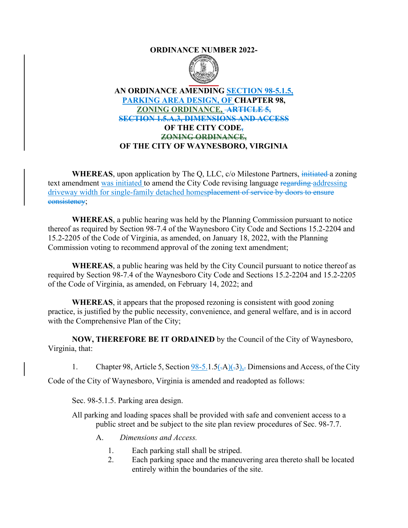## **ORDINANCE NUMBER 2022-**



## **AN ORDINANCE AMENDING SECTION 98-5.1.5, PARKING AREA DESIGN, OF CHAPTER 98, ZONING ORDINANCE, ARTICLE 5, SECTION 1.5.A.3, DIMENSIONS AND ACCESS OF THE CITY CODE, ZONING ORDINANCE, OF THE CITY OF WAYNESBORO, VIRGINIA**

**WHEREAS**, upon application by The Q, LLC, c/o Milestone Partners, initiated a zoning text amendment was initiated to amend the City Code revising language regarding addressing driveway width for single-family detached homesplacement of service by doors to ensure consistency;

**WHEREAS**, a public hearing was held by the Planning Commission pursuant to notice thereof as required by Section 98-7.4 of the Waynesboro City Code and Sections 15.2-2204 and 15.2-2205 of the Code of Virginia, as amended, on January 18, 2022, with the Planning Commission voting to recommend approval of the zoning text amendment;

**WHEREAS**, a public hearing was held by the City Council pursuant to notice thereof as required by Section 98-7.4 of the Waynesboro City Code and Sections 15.2-2204 and 15.2-2205 of the Code of Virginia, as amended, on February 14, 2022; and

**WHEREAS**, it appears that the proposed rezoning is consistent with good zoning practice, is justified by the public necessity, convenience, and general welfare, and is in accord with the Comprehensive Plan of the City;

**NOW, THEREFORE BE IT ORDAINED** by the Council of the City of Waynesboro, Virginia, that:

1. Chapter 98, Article 5, Section  $98-5.1.5(-A)(3)$ , Dimensions and Access, of the City

Code of the City of Waynesboro, Virginia is amended and readopted as follows:

Sec. 98-5.1.5. Parking area design.

All parking and loading spaces shall be provided with safe and convenient access to a public street and be subject to the site plan review procedures of Sec. 98-7.7.

- A. *Dimensions and Access.*
	- 1. Each parking stall shall be striped.
	- 2. Each parking space and the maneuvering area thereto shall be located entirely within the boundaries of the site.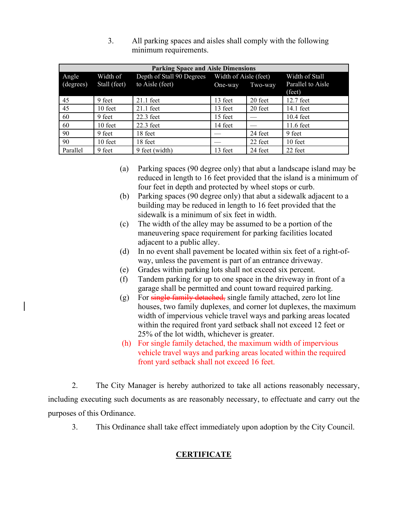| <b>Parking Space and Aisle Dimensions</b> |              |                           |                       |         |                   |  |
|-------------------------------------------|--------------|---------------------------|-----------------------|---------|-------------------|--|
| Angle                                     | Width of     | Depth of Stall 90 Degrees | Width of Aisle (feet) |         | Width of Stall    |  |
| (degrees)                                 | Stall (feet) | to Aisle (feet)           | One-way               | Two-way | Parallel to Aisle |  |
|                                           |              |                           |                       |         | (feet)            |  |
| -45                                       | 9 feet       | $21.1$ feet               | 13 feet               | 20 feet | 12.7 feet         |  |
| 45                                        | 10 feet      | $21.1$ feet               | 13 feet               | 20 feet | 14.1 feet         |  |
| -60                                       | 9 feet       | $22.3$ feet               | 15 feet               |         | $10.4$ feet       |  |
| -60                                       | 10 feet      | $22.3$ feet               | 14 feet               |         | 11.6 feet         |  |
| 90                                        | 9 feet       | 18 feet                   |                       | 24 feet | 9 feet            |  |
| 90                                        | 10 feet      | 18 feet                   |                       | 22 feet | $10$ feet         |  |
| Parallel                                  | 9 feet       | 9 feet (width)            | 13 feet               | 24 feet | 22 feet           |  |

3. All parking spaces and aisles shall comply with the following minimum requirements.

- (a) Parking spaces (90 degree only) that abut a landscape island may be reduced in length to 16 feet provided that the island is a minimum of four feet in depth and protected by wheel stops or curb.
- (b) Parking spaces (90 degree only) that abut a sidewalk adjacent to a building may be reduced in length to 16 feet provided that the sidewalk is a minimum of six feet in width.
- (c) The width of the alley may be assumed to be a portion of the maneuvering space requirement for parking facilities located adjacent to a public alley.
- (d) In no event shall pavement be located within six feet of a right-ofway, unless the pavement is part of an entrance driveway.
- (e) Grades within parking lots shall not exceed six percent.
- (f) Tandem parking for up to one space in the driveway in front of a garage shall be permitted and count toward required parking.
- (g) For single family detached, single family attached, zero lot line houses, two family duplexes, and corner lot duplexes, the maximum width of impervious vehicle travel ways and parking areas located within the required front yard setback shall not exceed 12 feet or 25% of the lot width, whichever is greater.
- (h) For single family detached, the maximum width of impervious vehicle travel ways and parking areas located within the required front yard setback shall not exceed 16 feet.

2. The City Manager is hereby authorized to take all actions reasonably necessary, including executing such documents as are reasonably necessary, to effectuate and carry out the purposes of this Ordinance.

3. This Ordinance shall take effect immediately upon adoption by the City Council.

## **CERTIFICATE**